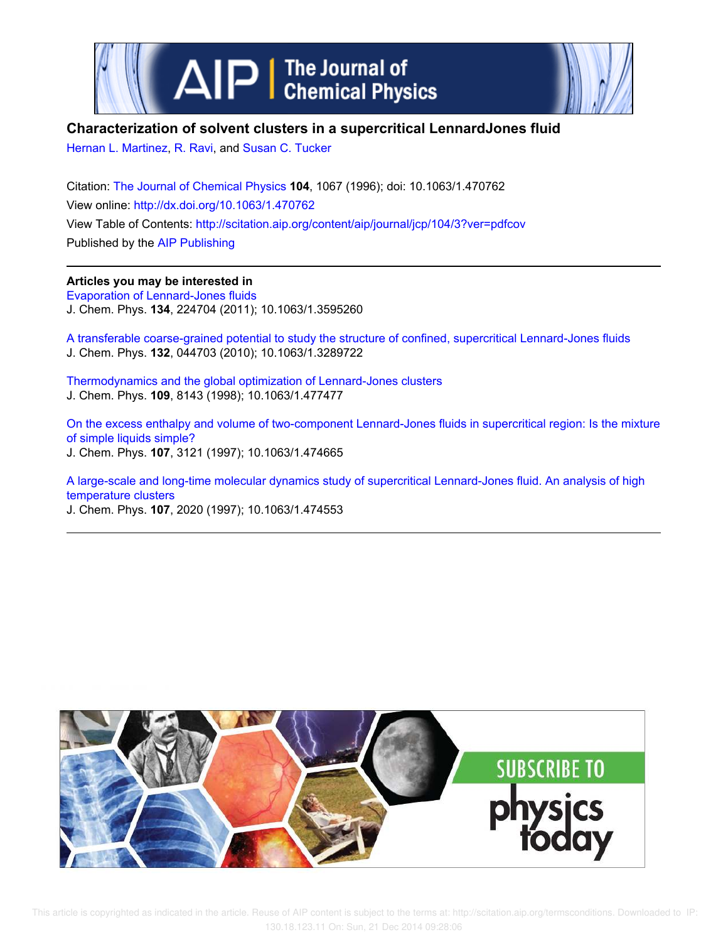

## **Characterization of solvent clusters in a supercritical LennardJones fluid**

Hernan L. Martinez, R. Ravi, and Susan C. Tucker

Citation: The Journal of Chemical Physics **104**, 1067 (1996); doi: 10.1063/1.470762 View online: http://dx.doi.org/10.1063/1.470762 View Table of Contents: http://scitation.aip.org/content/aip/journal/jcp/104/3?ver=pdfcov Published by the AIP Publishing

### **Articles you may be interested in**

Evaporation of Lennard-Jones fluids J. Chem. Phys. **134**, 224704 (2011); 10.1063/1.3595260

A transferable coarse-grained potential to study the structure of confined, supercritical Lennard-Jones fluids J. Chem. Phys. **132**, 044703 (2010); 10.1063/1.3289722

Thermodynamics and the global optimization of Lennard-Jones clusters J. Chem. Phys. **109**, 8143 (1998); 10.1063/1.477477

On the excess enthalpy and volume of two-component Lennard-Jones fluids in supercritical region: Is the mixture of simple liquids simple? J. Chem. Phys. **107**, 3121 (1997); 10.1063/1.474665

A large-scale and long-time molecular dynamics study of supercritical Lennard-Jones fluid. An analysis of high temperature clusters

J. Chem. Phys. **107**, 2020 (1997); 10.1063/1.474553

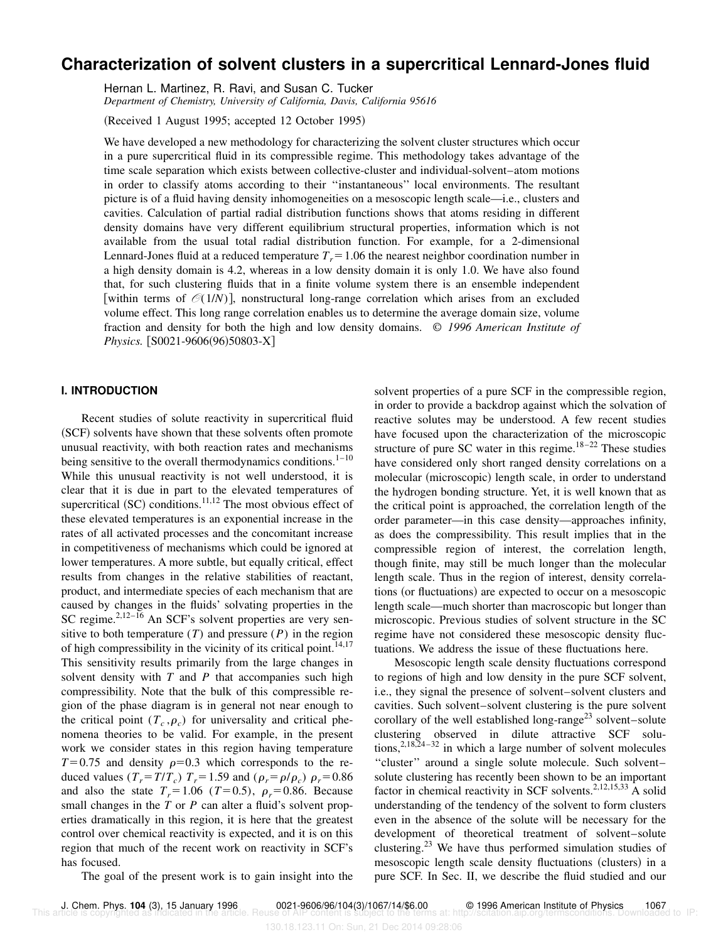# **Characterization of solvent clusters in a supercritical Lennard-Jones fluid**

Hernan L. Martinez, R. Ravi, and Susan C. Tucker *Department of Chemistry, University of California, Davis, California 95616*

(Received 1 August 1995; accepted 12 October 1995)

We have developed a new methodology for characterizing the solvent cluster structures which occur in a pure supercritical fluid in its compressible regime. This methodology takes advantage of the time scale separation which exists between collective-cluster and individual-solvent–atom motions in order to classify atoms according to their ''instantaneous'' local environments. The resultant picture is of a fluid having density inhomogeneities on a mesoscopic length scale—i.e., clusters and cavities. Calculation of partial radial distribution functions shows that atoms residing in different density domains have very different equilibrium structural properties, information which is not available from the usual total radial distribution function. For example, for a 2-dimensional Lennard-Jones fluid at a reduced temperature  $T<sub>r</sub> = 1.06$  the nearest neighbor coordination number in a high density domain is 4.2, whereas in a low density domain it is only 1.0. We have also found that, for such clustering fluids that in a finite volume system there is an ensemble independent [within terms of  $\mathcal{O}(1/N)$ ], nonstructural long-range correlation which arises from an excluded volume effect. This long range correlation enables us to determine the average domain size, volume fraction and density for both the high and low density domains. © *1996 American Institute of Physics.* [S0021-9606(96)50803-X]

#### **I. INTRODUCTION**

Recent studies of solute reactivity in supercritical fluid (SCF) solvents have shown that these solvents often promote unusual reactivity, with both reaction rates and mechanisms being sensitive to the overall thermodynamics conditions. $1-10$ While this unusual reactivity is not well understood, it is clear that it is due in part to the elevated temperatures of supercritical  $~(SC)$  conditions.<sup>11,12</sup> The most obvious effect of these elevated temperatures is an exponential increase in the rates of all activated processes and the concomitant increase in competitiveness of mechanisms which could be ignored at lower temperatures. A more subtle, but equally critical, effect results from changes in the relative stabilities of reactant, product, and intermediate species of each mechanism that are caused by changes in the fluids' solvating properties in the SC regime.<sup>2,12–16</sup> An SCF's solvent properties are very sensitive to both temperature  $(T)$  and pressure  $(P)$  in the region of high compressibility in the vicinity of its critical point.<sup>14,17</sup> This sensitivity results primarily from the large changes in solvent density with *T* and *P* that accompanies such high compressibility. Note that the bulk of this compressible region of the phase diagram is in general not near enough to the critical point  $(T_c, \rho_c)$  for universality and critical phenomena theories to be valid. For example, in the present work we consider states in this region having temperature  $T=0.75$  and density  $\rho=0.3$  which corresponds to the reduced values ( $T_r = T/T_c$ )  $T_r = 1.59$  and ( $\rho_r = \rho/\rho_c$ )  $\rho_r = 0.86$ and also the state  $T_r = 1.06$  ( $T = 0.5$ ),  $\rho_r = 0.86$ . Because small changes in the *T* or *P* can alter a fluid's solvent properties dramatically in this region, it is here that the greatest control over chemical reactivity is expected, and it is on this region that much of the recent work on reactivity in SCF's has focused.

The goal of the present work is to gain insight into the

solvent properties of a pure SCF in the compressible region, in order to provide a backdrop against which the solvation of reactive solutes may be understood. A few recent studies have focused upon the characterization of the microscopic structure of pure SC water in this regime.<sup>18–22</sup> These studies have considered only short ranged density correlations on a molecular (microscopic) length scale, in order to understand the hydrogen bonding structure. Yet, it is well known that as the critical point is approached, the correlation length of the order parameter—in this case density—approaches infinity, as does the compressibility. This result implies that in the compressible region of interest, the correlation length, though finite, may still be much longer than the molecular length scale. Thus in the region of interest, density correlations (or fluctuations) are expected to occur on a mesoscopic length scale—much shorter than macroscopic but longer than microscopic. Previous studies of solvent structure in the SC regime have not considered these mesoscopic density fluctuations. We address the issue of these fluctuations here.

Mesoscopic length scale density fluctuations correspond to regions of high and low density in the pure SCF solvent, i.e., they signal the presence of solvent–solvent clusters and cavities. Such solvent–solvent clustering is the pure solvent corollary of the well established long-range<sup>23</sup> solvent–solute clustering observed in dilute attractive SCF solutions,<sup>2,18,24–32</sup> in which a large number of solvent molecules ''cluster'' around a single solute molecule. Such solvent– solute clustering has recently been shown to be an important factor in chemical reactivity in SCF solvents.<sup>2,12,15,33</sup> A solid understanding of the tendency of the solvent to form clusters even in the absence of the solute will be necessary for the development of theoretical treatment of solvent–solute clustering.<sup>23</sup> We have thus performed simulation studies of mesoscopic length scale density fluctuations (clusters) in a pure SCF. In Sec. II, we describe the fluid studied and our

J. Chem. Phys. 104 (3), 15 January 1996 **0021-9606/96/104(3)/1067/14/\$6.00** © 1996 American Institute of Physics 1067<br>Ticle is copyrighted as indicated in the article. Reuse of AIF content is subject to the terms at: http: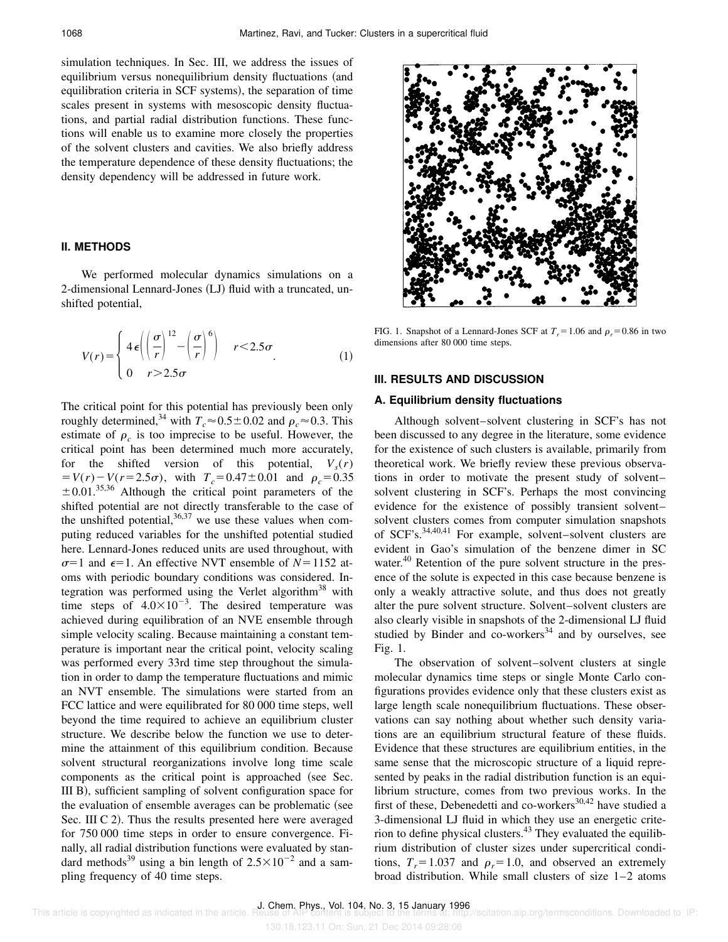simulation techniques. In Sec. III, we address the issues of equilibrium versus nonequilibrium density fluctuations (and equilibration criteria in SCF systems), the separation of time scales present in systems with mesoscopic density fluctuations, and partial radial distribution functions. These functions will enable us to examine more closely the properties of the solvent clusters and cavities. We also briefly address the temperature dependence of these density fluctuations; the density dependency will be addressed in future work.

#### **II. METHODS**

We performed molecular dynamics simulations on a 2-dimensional Lennard-Jones (LJ) fluid with a truncated, unshifted potential,

$$
V(r) = \begin{cases} 4\epsilon \left( \left( \frac{\sigma}{r} \right)^{12} - \left( \frac{\sigma}{r} \right)^6 \right) & r < 2.5\sigma \\ 0 & r > 2.5\sigma \end{cases}
$$
 (1)

The critical point for this potential has previously been only roughly determined,<sup>34</sup> with  $T_c \approx 0.5 \pm 0.02$  and  $\rho_c \approx 0.3$ . This estimate of  $\rho_c$  is too imprecise to be useful. However, the critical point has been determined much more accurately, for the shifted version of this potential,  $V_s(r)$  $V(r) - V(r = 2.5\sigma)$ , with  $T_c = 0.47 \pm 0.01$  and  $\rho_c = 0.35$  $\pm$  0.01.<sup>35,36</sup> Although the critical point parameters of the shifted potential are not directly transferable to the case of the unshifted potential,  $36,37$  we use these values when computing reduced variables for the unshifted potential studied here. Lennard-Jones reduced units are used throughout, with  $\sigma=1$  and  $\epsilon=1$ . An effective NVT ensemble of *N* = 1152 atoms with periodic boundary conditions was considered. Integration was performed using the Verlet algorithm $38$  with time steps of  $4.0 \times 10^{-3}$ . The desired temperature was achieved during equilibration of an NVE ensemble through simple velocity scaling. Because maintaining a constant temperature is important near the critical point, velocity scaling was performed every 33rd time step throughout the simulation in order to damp the temperature fluctuations and mimic an NVT ensemble. The simulations were started from an FCC lattice and were equilibrated for 80 000 time steps, well beyond the time required to achieve an equilibrium cluster structure. We describe below the function we use to determine the attainment of this equilibrium condition. Because solvent structural reorganizations involve long time scale components as the critical point is approached (see Sec. III B), sufficient sampling of solvent configuration space for the evaluation of ensemble averages can be problematic (see Sec. III C 2). Thus the results presented here were averaged for 750 000 time steps in order to ensure convergence. Finally, all radial distribution functions were evaluated by standard methods<sup>39</sup> using a bin length of  $2.5 \times 10^{-2}$  and a sampling frequency of 40 time steps.



FIG. 1. Snapshot of a Lennard-Jones SCF at  $T_r = 1.06$  and  $\rho_r = 0.86$  in two dimensions after 80 000 time steps.

#### **III. RESULTS AND DISCUSSION**

#### **A. Equilibrium density fluctuations**

Although solvent–solvent clustering in SCF's has not been discussed to any degree in the literature, some evidence for the existence of such clusters is available, primarily from theoretical work. We briefly review these previous observations in order to motivate the present study of solvent– solvent clustering in SCF's. Perhaps the most convincing evidence for the existence of possibly transient solvent– solvent clusters comes from computer simulation snapshots of SCF's.34,40,41 For example, solvent–solvent clusters are evident in Gao's simulation of the benzene dimer in SC water.<sup>40</sup> Retention of the pure solvent structure in the presence of the solute is expected in this case because benzene is only a weakly attractive solute, and thus does not greatly alter the pure solvent structure. Solvent–solvent clusters are also clearly visible in snapshots of the 2-dimensional LJ fluid studied by Binder and  $co$ -workers<sup>34</sup> and by ourselves, see Fig. 1.

The observation of solvent–solvent clusters at single molecular dynamics time steps or single Monte Carlo configurations provides evidence only that these clusters exist as large length scale nonequilibrium fluctuations. These observations can say nothing about whether such density variations are an equilibrium structural feature of these fluids. Evidence that these structures are equilibrium entities, in the same sense that the microscopic structure of a liquid represented by peaks in the radial distribution function is an equilibrium structure, comes from two previous works. In the first of these, Debenedetti and co-workers<sup>30,42</sup> have studied a 3-dimensional LJ fluid in which they use an energetic criterion to define physical clusters. $43$  They evaluated the equilibrium distribution of cluster sizes under supercritical conditions,  $T_r = 1.037$  and  $\rho_r = 1.0$ , and observed an extremely broad distribution. While small clusters of size 1–2 atoms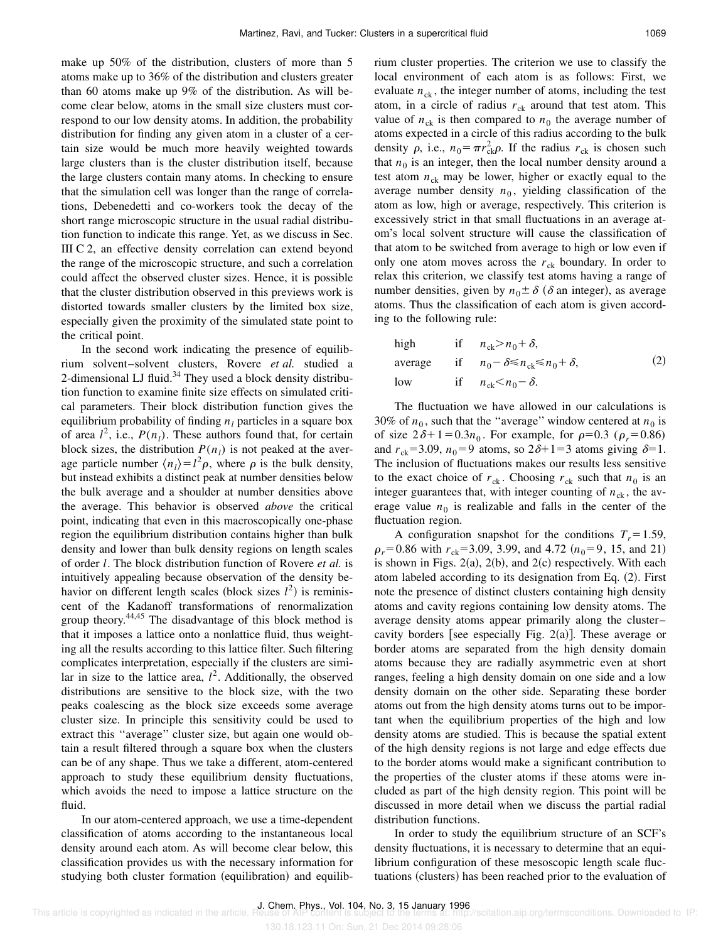make up 50% of the distribution, clusters of more than 5 atoms make up to 36% of the distribution and clusters greater than 60 atoms make up 9% of the distribution. As will become clear below, atoms in the small size clusters must correspond to our low density atoms. In addition, the probability distribution for finding any given atom in a cluster of a certain size would be much more heavily weighted towards large clusters than is the cluster distribution itself, because the large clusters contain many atoms. In checking to ensure that the simulation cell was longer than the range of correlations, Debenedetti and co-workers took the decay of the short range microscopic structure in the usual radial distribution function to indicate this range. Yet, as we discuss in Sec. III C 2, an effective density correlation can extend beyond the range of the microscopic structure, and such a correlation could affect the observed cluster sizes. Hence, it is possible that the cluster distribution observed in this previews work is distorted towards smaller clusters by the limited box size, especially given the proximity of the simulated state point to the critical point.

In the second work indicating the presence of equilibrium solvent–solvent clusters, Rovere *et al.* studied a 2-dimensional LJ fluid. $34$  They used a block density distribution function to examine finite size effects on simulated critical parameters. Their block distribution function gives the equilibrium probability of finding *n<sup>l</sup>* particles in a square box of area  $l^2$ , i.e.,  $P(n_l)$ . These authors found that, for certain block sizes, the distribution  $P(n_l)$  is not peaked at the average particle number  $\langle n_l \rangle = l^2 \rho$ , where  $\rho$  is the bulk density, but instead exhibits a distinct peak at number densities below the bulk average and a shoulder at number densities above the average. This behavior is observed *above* the critical point, indicating that even in this macroscopically one-phase region the equilibrium distribution contains higher than bulk density and lower than bulk density regions on length scales of order *l*. The block distribution function of Rovere *et al.* is intuitively appealing because observation of the density behavior on different length scales (block sizes  $l^2$ ) is reminiscent of the Kadanoff transformations of renormalization group theory.44,45 The disadvantage of this block method is that it imposes a lattice onto a nonlattice fluid, thus weighting all the results according to this lattice filter. Such filtering complicates interpretation, especially if the clusters are similar in size to the lattice area,  $l^2$ . Additionally, the observed distributions are sensitive to the block size, with the two peaks coalescing as the block size exceeds some average cluster size. In principle this sensitivity could be used to extract this ''average'' cluster size, but again one would obtain a result filtered through a square box when the clusters can be of any shape. Thus we take a different, atom-centered approach to study these equilibrium density fluctuations, which avoids the need to impose a lattice structure on the fluid.

In our atom-centered approach, we use a time-dependent classification of atoms according to the instantaneous local density around each atom. As will become clear below, this classification provides us with the necessary information for studying both cluster formation (equilibration) and equilibrium cluster properties. The criterion we use to classify the local environment of each atom is as follows: First, we evaluate  $n_{ck}$ , the integer number of atoms, including the test atom, in a circle of radius  $r_{ck}$  around that test atom. This value of  $n_{ck}$  is then compared to  $n_0$  the average number of atoms expected in a circle of this radius according to the bulk density  $\rho$ , i.e.,  $n_0 = \pi r_{ck}^2 \rho$ . If the radius  $r_{ck}$  is chosen such that  $n_0$  is an integer, then the local number density around a test atom  $n_{ck}$  may be lower, higher or exactly equal to the average number density  $n_0$ , yielding classification of the atom as low, high or average, respectively. This criterion is excessively strict in that small fluctuations in an average atom's local solvent structure will cause the classification of that atom to be switched from average to high or low even if only one atom moves across the  $r_{ck}$  boundary. In order to relax this criterion, we classify test atoms having a range of number densities, given by  $n_0 \pm \delta$  ( $\delta$  an integer), as average atoms. Thus the classification of each atom is given according to the following rule:

high if 
$$
n_{ck} > n_0 + \delta
$$
,  
average if  $n_0 - \delta \le n_{ck} \le n_0 + \delta$ , (2)  
low if  $n_{ck} < n_0 - \delta$ .

The fluctuation we have allowed in our calculations is 30% of  $n_0$ , such that the "average" window centered at  $n_0$  is of size  $2\delta+1=0.3n_0$ . For example, for  $\rho=0.3$  ( $\rho_r=0.86$ ) and  $r_{ck}$ =3.09,  $n_0$ =9 atoms, so  $2\delta+1=3$  atoms giving  $\delta=1$ . The inclusion of fluctuations makes our results less sensitive to the exact choice of  $r_{ck}$ . Choosing  $r_{ck}$  such that  $n_0$  is an integer guarantees that, with integer counting of  $n_{ck}$ , the average value  $n_0$  is realizable and falls in the center of the fluctuation region.

A configuration snapshot for the conditions  $T_r = 1.59$ ,  $\rho_r$ =0.86 with  $r_{ck}$ =3.09, 3.99, and 4.72  $(n_0=9, 15, \text{ and } 21)$ is shown in Figs. 2(a), 2(b), and 2(c) respectively. With each atom labeled according to its designation from Eq.  $(2)$ . First note the presence of distinct clusters containing high density atoms and cavity regions containing low density atoms. The average density atoms appear primarily along the cluster– cavity borders [see especially Fig. 2(a)]. These average or border atoms are separated from the high density domain atoms because they are radially asymmetric even at short ranges, feeling a high density domain on one side and a low density domain on the other side. Separating these border atoms out from the high density atoms turns out to be important when the equilibrium properties of the high and low density atoms are studied. This is because the spatial extent of the high density regions is not large and edge effects due to the border atoms would make a significant contribution to the properties of the cluster atoms if these atoms were included as part of the high density region. This point will be discussed in more detail when we discuss the partial radial distribution functions.

In order to study the equilibrium structure of an SCF's density fluctuations, it is necessary to determine that an equilibrium configuration of these mesoscopic length scale fluctuations (clusters) has been reached prior to the evaluation of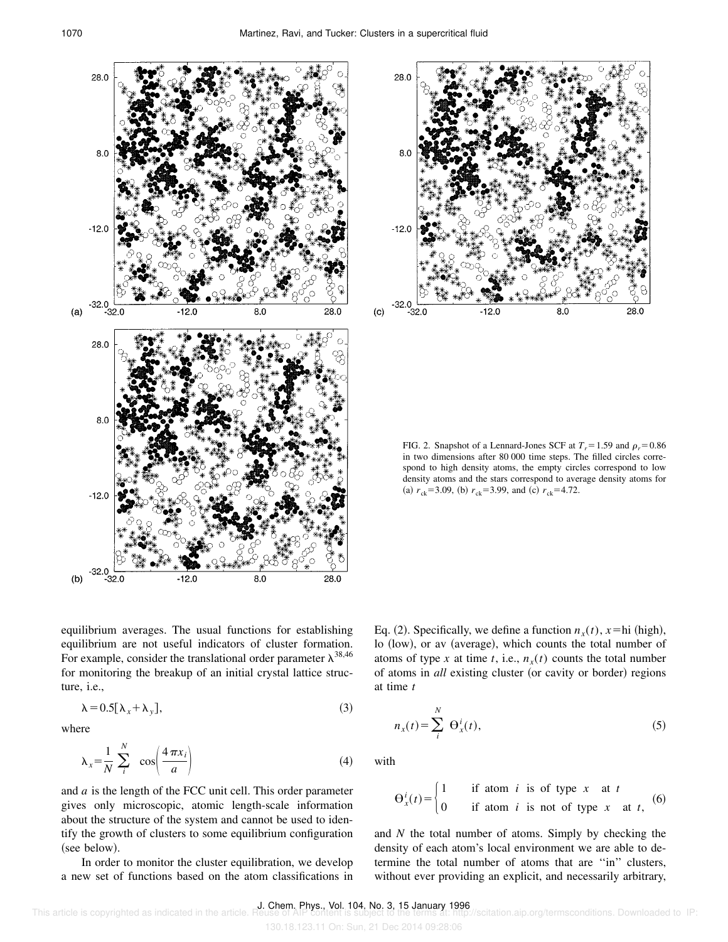



FIG. 2. Snapshot of a Lennard-Jones SCF at  $T_r = 1.59$  and  $\rho_r = 0.86$ in two dimensions after 80 000 time steps. The filled circles correspond to high density atoms, the empty circles correspond to low density atoms and the stars correspond to average density atoms for (a)  $r_{ck} = 3.09$ , (b)  $r_{ck} = 3.99$ , and (c)  $r_{ck} = 4.72$ .

equilibrium averages. The usual functions for establishing equilibrium are not useful indicators of cluster formation. For example, consider the translational order parameter  $\lambda^{38,46}$ for monitoring the breakup of an initial crystal lattice structure, i.e.,

$$
\lambda = 0.5[\lambda_x + \lambda_y],\tag{3}
$$

where

$$
\lambda_x = \frac{1}{N} \sum_{i}^{N} \cos\left(\frac{4\pi x_i}{a}\right) \tag{4}
$$

and *a* is the length of the FCC unit cell. This order parameter gives only microscopic, atomic length-scale information about the structure of the system and cannot be used to identify the growth of clusters to some equilibrium configuration (see below).

In order to monitor the cluster equilibration, we develop a new set of functions based on the atom classifications in

Eq. (2). Specifically, we define a function  $n_x(t)$ ,  $x = \text{hi (high)}$ , lo (low), or av (average), which counts the total number of atoms of type *x* at time *t*, i.e.,  $n_x(t)$  counts the total number of atoms in *all* existing cluster (or cavity or border) regions at time *t*

$$
n_x(t) = \sum_{i}^{N} \Theta_x^{i}(t),
$$
\n(5)

with

$$
\Theta_x^i(t) = \begin{cases} 1 & \text{if atom } i \text{ is of type } x \text{ at } t \\ 0 & \text{if atom } i \text{ is not of type } x \text{ at } t, \end{cases} \tag{6}
$$

and *N* the total number of atoms. Simply by checking the density of each atom's local environment we are able to determine the total number of atoms that are ''in'' clusters, without ever providing an explicit, and necessarily arbitrary,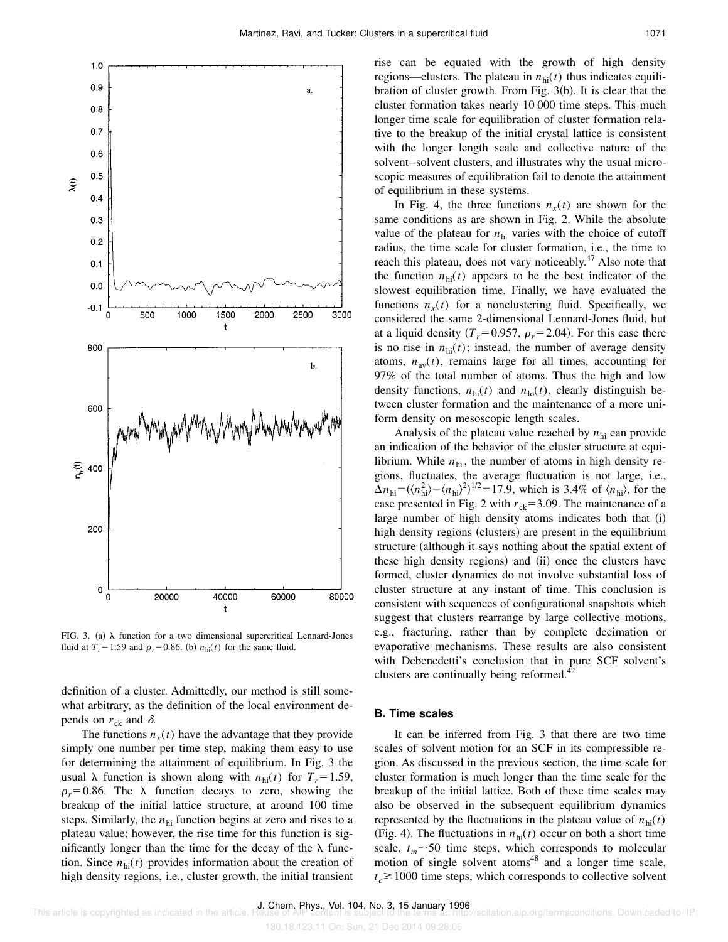

FIG. 3. (a)  $\lambda$  function for a two dimensional supercritical Lennard-Jones fluid at  $T_r = 1.59$  and  $\rho_r = 0.86$ . (b)  $n_{\text{hi}}(t)$  for the same fluid.

definition of a cluster. Admittedly, our method is still somewhat arbitrary, as the definition of the local environment depends on  $r_{ck}$  and  $\delta$ .

The functions  $n_x(t)$  have the advantage that they provide simply one number per time step, making them easy to use for determining the attainment of equilibrium. In Fig. 3 the usual  $\lambda$  function is shown along with  $n_{\text{hi}}(t)$  for  $T_r = 1.59$ ,  $\rho_r$ =0.86. The  $\lambda$  function decays to zero, showing the breakup of the initial lattice structure, at around 100 time steps. Similarly, the  $n<sub>hi</sub>$  function begins at zero and rises to a plateau value; however, the rise time for this function is significantly longer than the time for the decay of the  $\lambda$  function. Since  $n<sub>hi</sub>(t)$  provides information about the creation of high density regions, i.e., cluster growth, the initial transient rise can be equated with the growth of high density regions—clusters. The plateau in  $n<sub>hi</sub>(t)$  thus indicates equilibration of cluster growth. From Fig.  $3(b)$ . It is clear that the cluster formation takes nearly 10 000 time steps. This much longer time scale for equilibration of cluster formation relative to the breakup of the initial crystal lattice is consistent with the longer length scale and collective nature of the solvent–solvent clusters, and illustrates why the usual microscopic measures of equilibration fail to denote the attainment of equilibrium in these systems.

In Fig. 4, the three functions  $n<sub>x</sub>(t)$  are shown for the same conditions as are shown in Fig. 2. While the absolute value of the plateau for  $n<sub>hi</sub>$  varies with the choice of cutoff radius, the time scale for cluster formation, i.e., the time to reach this plateau, does not vary noticeably.<sup>47</sup> Also note that the function  $n<sub>hi</sub>(t)$  appears to be the best indicator of the slowest equilibration time. Finally, we have evaluated the functions  $n_x(t)$  for a nonclustering fluid. Specifically, we considered the same 2-dimensional Lennard-Jones fluid, but at a liquid density  $(T_r=0.957, \rho_r=2.04)$ . For this case there is no rise in  $n_{\text{hi}}(t)$ ; instead, the number of average density atoms,  $n_{av}(t)$ , remains large for all times, accounting for 97% of the total number of atoms. Thus the high and low density functions,  $n_{\text{hi}}(t)$  and  $n_{\text{lo}}(t)$ , clearly distinguish between cluster formation and the maintenance of a more uniform density on mesoscopic length scales.

Analysis of the plateau value reached by  $n<sub>hi</sub>$  can provide an indication of the behavior of the cluster structure at equilibrium. While  $n<sub>hi</sub>$ , the number of atoms in high density regions, fluctuates, the average fluctuation is not large, i.e.,  $\Delta n_{\rm hi} = ((n_{\rm hi}^2) - (n_{\rm hi})^2)^{1/2} = 17.9$ , which is 3.4% of  $\langle n_{\rm hi} \rangle$ , for the case presented in Fig. 2 with  $r_{ck}$ =3.09. The maintenance of a large number of high density atoms indicates both that  $(i)$ high density regions (clusters) are present in the equilibrium structure (although it says nothing about the spatial extent of these high density regions) and (ii) once the clusters have formed, cluster dynamics do not involve substantial loss of cluster structure at any instant of time. This conclusion is consistent with sequences of configurational snapshots which suggest that clusters rearrange by large collective motions, e.g., fracturing, rather than by complete decimation or evaporative mechanisms. These results are also consistent with Debenedetti's conclusion that in pure SCF solvent's clusters are continually being reformed. $42$ 

#### **B. Time scales**

It can be inferred from Fig. 3 that there are two time scales of solvent motion for an SCF in its compressible region. As discussed in the previous section, the time scale for cluster formation is much longer than the time scale for the breakup of the initial lattice. Both of these time scales may also be observed in the subsequent equilibrium dynamics represented by the fluctuations in the plateau value of  $n_{\text{hi}}(t)$ (Fig. 4). The fluctuations in  $n_{\text{hi}}(t)$  occur on both a short time scale,  $t_m \sim 50$  time steps, which corresponds to molecular motion of single solvent atoms<sup>48</sup> and a longer time scale,  $t_c \ge 1000$  time steps, which corresponds to collective solvent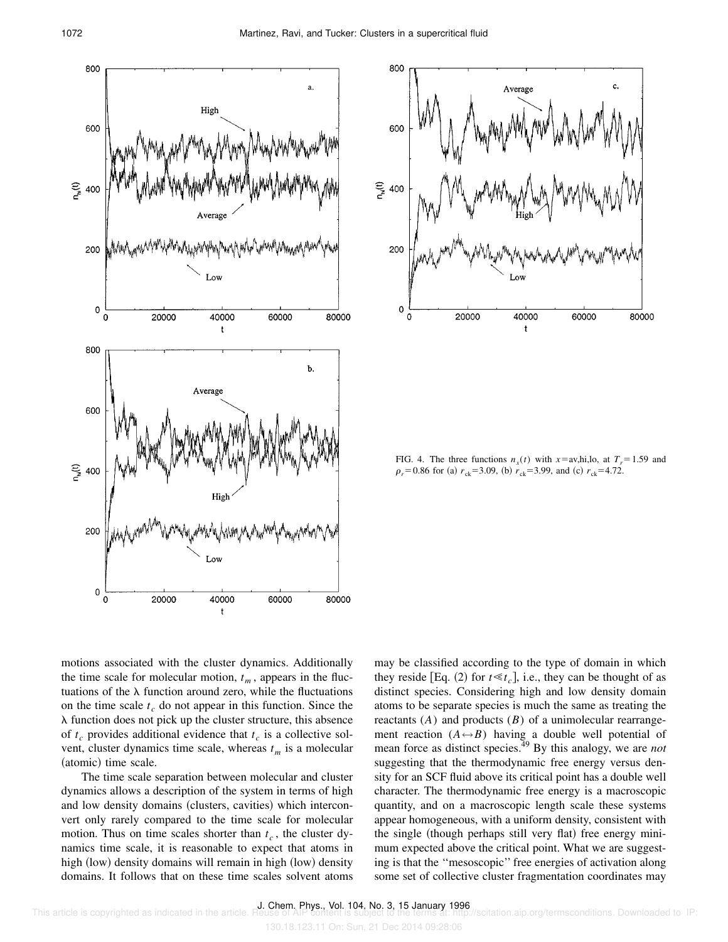



FIG. 4. The three functions  $n_x(t)$  with  $x = \text{av},\text{hi},\text{lo}, \text{ at } T_r = 1.59$  and  $\rho_r$ =0.86 for (a)  $r_{ck}$ =3.09, (b)  $r_{ck}$ =3.99, and (c)  $r_{ck}$ =4.72.

motions associated with the cluster dynamics. Additionally the time scale for molecular motion,  $t_m$ , appears in the fluctuations of the  $\lambda$  function around zero, while the fluctuations on the time scale  $t_c$  do not appear in this function. Since the  $\lambda$  function does not pick up the cluster structure, this absence of  $t_c$  provides additional evidence that  $t_c$  is a collective solvent, cluster dynamics time scale, whereas *t<sup>m</sup>* is a molecular (atomic) time scale.

The time scale separation between molecular and cluster dynamics allows a description of the system in terms of high and low density domains (clusters, cavities) which interconvert only rarely compared to the time scale for molecular motion. Thus on time scales shorter than  $t_c$ , the cluster dynamics time scale, it is reasonable to expect that atoms in high (low) density domains will remain in high (low) density domains. It follows that on these time scales solvent atoms may be classified according to the type of domain in which they reside [Eq. (2) for  $t \ll t_c$ ], i.e., they can be thought of as distinct species. Considering high and low density domain atoms to be separate species is much the same as treating the reactants (*A*) and products (*B*) of a unimolecular rearrangement reaction  $(A \leftrightarrow B)$  having a double well potential of mean force as distinct species.<sup>49</sup> By this analogy, we are *not* suggesting that the thermodynamic free energy versus density for an SCF fluid above its critical point has a double well character. The thermodynamic free energy is a macroscopic quantity, and on a macroscopic length scale these systems appear homogeneous, with a uniform density, consistent with the single (though perhaps still very flat) free energy minimum expected above the critical point. What we are suggesting is that the ''mesoscopic'' free energies of activation along some set of collective cluster fragmentation coordinates may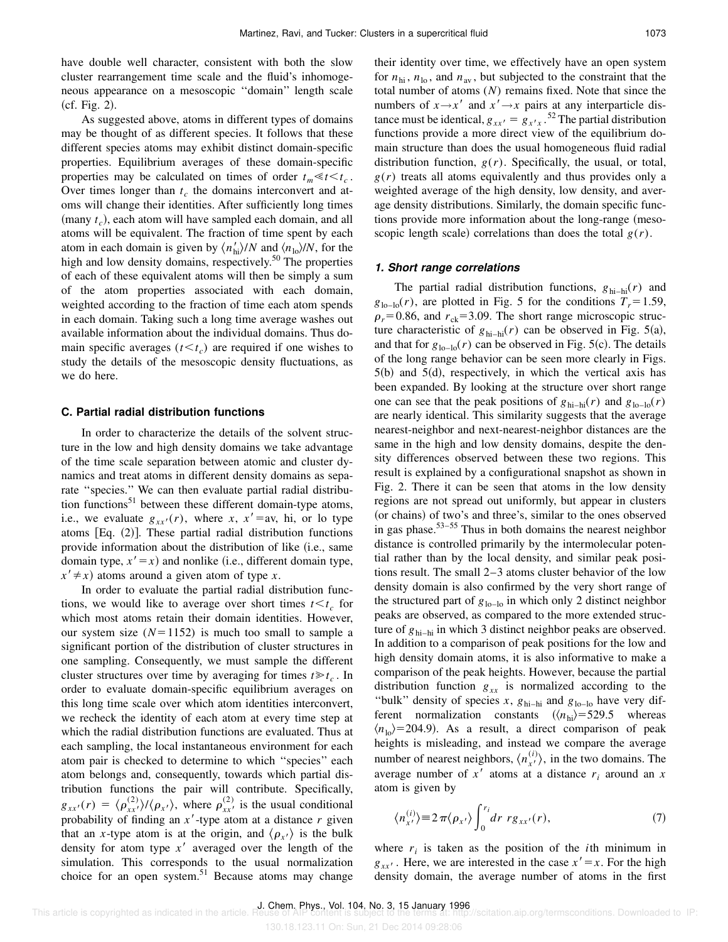have double well character, consistent with both the slow cluster rearrangement time scale and the fluid's inhomogeneous appearance on a mesoscopic ''domain'' length scale  $(cf. Fig. 2).$ 

As suggested above, atoms in different types of domains may be thought of as different species. It follows that these different species atoms may exhibit distinct domain-specific properties. Equilibrium averages of these domain-specific properties may be calculated on times of order  $t_m \le t < t_c$ . Over times longer than  $t_c$  the domains interconvert and atoms will change their identities. After sufficiently long times  $(\text{many } t_c)$ , each atom will have sampled each domain, and all atoms will be equivalent. The fraction of time spent by each atom in each domain is given by  $\langle n_h^{\prime}\rangle/N$  and  $\langle n_{\rm lo}\rangle/N$ , for the high and low density domains, respectively.<sup>50</sup> The properties of each of these equivalent atoms will then be simply a sum of the atom properties associated with each domain, weighted according to the fraction of time each atom spends in each domain. Taking such a long time average washes out available information about the individual domains. Thus domain specific averages  $(t \leq t_c)$  are required if one wishes to study the details of the mesoscopic density fluctuations, as we do here.

#### **C. Partial radial distribution functions**

In order to characterize the details of the solvent structure in the low and high density domains we take advantage of the time scale separation between atomic and cluster dynamics and treat atoms in different density domains as separate ''species.'' We can then evaluate partial radial distribution functions<sup>51</sup> between these different domain-type atoms, i.e., we evaluate  $g_{xx}(r)$ , where *x*,  $x' = av$ , hi, or lo type atoms  $[Eq. (2)].$  These partial radial distribution functions provide information about the distribution of like (i.e., same domain type,  $x' = x$ ) and nonlike (i.e., different domain type,  $x' \neq x$ ) atoms around a given atom of type *x*.

In order to evaluate the partial radial distribution functions, we would like to average over short times  $t < t_c$  for which most atoms retain their domain identities. However, our system size  $(N=1152)$  is much too small to sample a significant portion of the distribution of cluster structures in one sampling. Consequently, we must sample the different cluster structures over time by averaging for times  $t \geq t_c$ . In order to evaluate domain-specific equilibrium averages on this long time scale over which atom identities interconvert, we recheck the identity of each atom at every time step at which the radial distribution functions are evaluated. Thus at each sampling, the local instantaneous environment for each atom pair is checked to determine to which ''species'' each atom belongs and, consequently, towards which partial distribution functions the pair will contribute. Specifically,  $g_{xx'}(r) = \langle \rho_{xx'}^{(2)} \rangle / \langle \rho_{x'} \rangle$ , where  $\rho_{xx'}^{(2)}$  is the usual conditional probability of finding an  $x'$ -type atom at a distance  $r$  given that an *x*-type atom is at the origin, and  $\langle \rho_{x'} \rangle$  is the bulk density for atom type  $x<sup>3</sup>$  averaged over the length of the simulation. This corresponds to the usual normalization choice for an open system.<sup>51</sup> Because atoms may change their identity over time, we effectively have an open system for  $n_{\text{hi}}$ ,  $n_{\text{lo}}$ , and  $n_{\text{av}}$ , but subjected to the constraint that the total number of atoms (*N*) remains fixed. Note that since the numbers of  $x \rightarrow x'$  and  $x' \rightarrow x$  pairs at any interparticle distance must be identical,  $g_{xx'} = g_{x'x}$ .<sup>52</sup> The partial distribution functions provide a more direct view of the equilibrium domain structure than does the usual homogeneous fluid radial distribution function,  $g(r)$ . Specifically, the usual, or total,  $g(r)$  treats all atoms equivalently and thus provides only a weighted average of the high density, low density, and average density distributions. Similarly, the domain specific functions provide more information about the long-range (mesoscopic length scale) correlations than does the total  $g(r)$ .

#### **1. Short range correlations**

The partial radial distribution functions,  $g_{hi-hi}(r)$  and  $g_{10-10}(r)$ , are plotted in Fig. 5 for the conditions  $T_r = 1.59$ ,  $\rho_r$ =0.86, and  $r_{ck}$ =3.09. The short range microscopic structure characteristic of  $g_{hi-hi}(r)$  can be observed in Fig. 5(a), and that for  $g_{10-10}(r)$  can be observed in Fig. 5(c). The details of the long range behavior can be seen more clearly in Figs.  $5(b)$  and  $5(d)$ , respectively, in which the vertical axis has been expanded. By looking at the structure over short range one can see that the peak positions of  $g_{hi-hi}(r)$  and  $g_{lo-lo}(r)$ are nearly identical. This similarity suggests that the average nearest-neighbor and next-nearest-neighbor distances are the same in the high and low density domains, despite the density differences observed between these two regions. This result is explained by a configurational snapshot as shown in Fig. 2. There it can be seen that atoms in the low density regions are not spread out uniformly, but appear in clusters (or chains) of two's and three's, similar to the ones observed in gas phase.<sup>53–55</sup> Thus in both domains the nearest neighbor distance is controlled primarily by the intermolecular potential rather than by the local density, and similar peak positions result. The small 2–3 atoms cluster behavior of the low density domain is also confirmed by the very short range of the structured part of  $g_{\text{lo}-\text{lo}}$  in which only 2 distinct neighbor peaks are observed, as compared to the more extended structure of *g*hi–hi in which 3 distinct neighbor peaks are observed. In addition to a comparison of peak positions for the low and high density domain atoms, it is also informative to make a comparison of the peak heights. However, because the partial distribution function  $g_{xx}$  is normalized according to the "bulk" density of species *x*,  $g_{hi-hi}$  and  $g_{lo-ho}$  have very different normalization constants  $(\langle n_{\text{hi}}\rangle=529.5$  whereas  $\langle n_{\text{lo}}\rangle$ =204.9). As a result, a direct comparison of peak heights is misleading, and instead we compare the average number of nearest neighbors,  $\langle n_x^{(i)} \rangle$ , in the two domains. The average number of  $x^{\prime}$  atoms at a distance  $r_i$  around an  $x$ atom is given by

$$
\langle n_{x'}^{(i)} \rangle \equiv 2 \pi \langle \rho_{x'} \rangle \int_0^{r_i} dr \ r g_{xx'}(r), \tag{7}
$$

where  $r_i$  is taken as the position of the *i*th minimum in  $g_{xx}$ . Here, we are interested in the case  $x' = x$ . For the high density domain, the average number of atoms in the first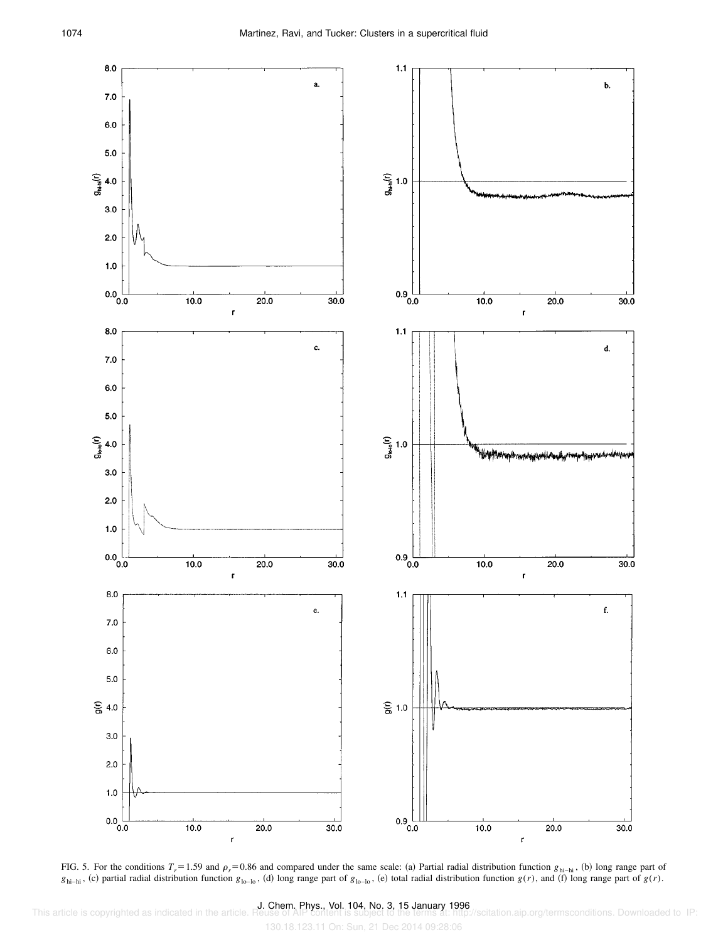

FIG. 5. For the conditions  $T_r = 1.59$  and  $\rho_r = 0.86$  and compared under the same scale: (a) Partial radial distribution function  $g_{hi-hi}$ , (b) long range part of  $g_{hi-hi}$ , (c) partial radial distribution function  $g_{lo-lo}$ , (d) long range part of  $g_{lo-lo}$ , (e) total radial distribution function  $g(r)$ , and (f) long range part of  $g(r)$ .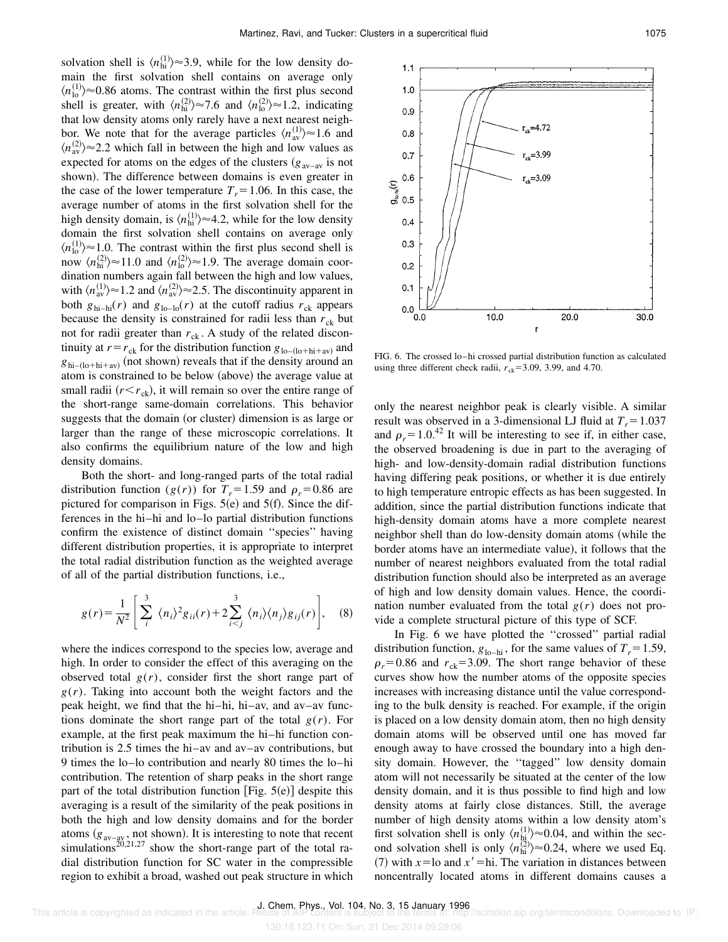solvation shell is  $\langle n_{\text{hi}}^{(1)} \rangle \approx 3.9$ , while for the low density domain the first solvation shell contains on average only  $\langle n_{\text{lo}}^{(1)} \rangle \approx 0.86$  atoms. The contrast within the first plus second shell is greater, with  $\langle n_{\text{hi}}^{(2)} \rangle \approx 7.6$  and  $\langle n_{\text{lo}}^{(2)} \rangle \approx 1.2$ , indicating that low density atoms only rarely have a next nearest neighbor. We note that for the average particles  $\langle n_{av}^{(1)} \rangle \approx 1.6$  and  $\langle n_{av}^{(2)} \rangle \approx 2.2$  which fall in between the high and low values as expected for atoms on the edges of the clusters  $(g_{av-av}$  is not shown). The difference between domains is even greater in the case of the lower temperature  $T_r = 1.06$ . In this case, the average number of atoms in the first solvation shell for the high density domain, is  $\langle n_{\text{hi}}^{(1)} \rangle \approx 4.2$ , while for the low density domain the first solvation shell contains on average only  $\langle n_{\text{lo}}^{(1)} \rangle \approx 1.0$ . The contrast within the first plus second shell is now  $\langle n_{\text{hi}}^{(2)} \rangle \approx 11.0$  and  $\langle n_{\text{lo}}^{(2)} \rangle \approx 1.9$ . The average domain coordination numbers again fall between the high and low values, with  $\langle n_{av}^{(1)} \rangle \approx 1.2$  and  $\langle n_{av}^{(2)} \rangle \approx 2.5$ . The discontinuity apparent in both  $g_{hi-hi}(r)$  and  $g_{lo-lo}(r)$  at the cutoff radius  $r_{ck}$  appears because the density is constrained for radii less than  $r_{ck}$  but not for radii greater than  $r_{ck}$ . A study of the related discontinuity at  $r = r_{ck}$  for the distribution function  $g_{\text{lo}-(\text{lo}+\text{hi}+\text{av})}$  and  $g_{\text{hi}-(\text{lo}+\text{hi}+\text{av})}$  (not shown) reveals that if the density around an atom is constrained to be below (above) the average value at small radii  $(r < r_{ck})$ , it will remain so over the entire range of the short-range same-domain correlations. This behavior suggests that the domain (or cluster) dimension is as large or larger than the range of these microscopic correlations. It also confirms the equilibrium nature of the low and high density domains.

Both the short- and long-ranged parts of the total radial distribution function ( $g(r)$ ) for  $T_r = 1.59$  and  $\rho_r = 0.86$  are pictured for comparison in Figs.  $5(e)$  and  $5(f)$ . Since the differences in the hi–hi and lo–lo partial distribution functions confirm the existence of distinct domain ''species'' having different distribution properties, it is appropriate to interpret the total radial distribution function as the weighted average of all of the partial distribution functions, i.e.,

$$
g(r) = \frac{1}{N^2} \left[ \sum_{i}^{3} \langle n_i \rangle^2 g_{ii}(r) + 2 \sum_{i < j}^{3} \langle n_i \rangle \langle n_j \rangle g_{ij}(r) \right], \quad (8)
$$

where the indices correspond to the species low, average and high. In order to consider the effect of this averaging on the observed total  $g(r)$ , consider first the short range part of  $g(r)$ . Taking into account both the weight factors and the peak height, we find that the hi–hi, hi–av, and av–av functions dominate the short range part of the total  $g(r)$ . For example, at the first peak maximum the hi–hi function contribution is 2.5 times the hi–av and av–av contributions, but 9 times the lo–lo contribution and nearly 80 times the lo–hi contribution. The retention of sharp peaks in the short range part of the total distribution function [Fig.  $5(e)$ ] despite this averaging is a result of the similarity of the peak positions in both the high and low density domains and for the border atoms  $(g_{av-ay}$ , not shown). It is interesting to note that recent simulations<sup>20,21,27</sup> show the short-range part of the total radial distribution function for SC water in the compressible region to exhibit a broad, washed out peak structure in which

FIG. 6. The crossed lo–hi crossed partial distribution function as calculated using three different check radii,  $r_{ck}$ =3.09, 3.99, and 4.70.

only the nearest neighbor peak is clearly visible. A similar result was observed in a 3-dimensional LJ fluid at  $T<sub>r</sub> = 1.037$ and  $\rho_r = 1.0$ .<sup>42</sup> It will be interesting to see if, in either case, the observed broadening is due in part to the averaging of high- and low-density-domain radial distribution functions having differing peak positions, or whether it is due entirely to high temperature entropic effects as has been suggested. In addition, since the partial distribution functions indicate that high-density domain atoms have a more complete nearest neighbor shell than do low-density domain atoms (while the border atoms have an intermediate value), it follows that the number of nearest neighbors evaluated from the total radial distribution function should also be interpreted as an average of high and low density domain values. Hence, the coordination number evaluated from the total  $g(r)$  does not provide a complete structural picture of this type of SCF.

In Fig. 6 we have plotted the ''crossed'' partial radial distribution function,  $g_{\text{lo-hi}}$ , for the same values of  $T_r = 1.59$ ,  $\rho_r$ =0.86 and  $r_{ck}$ =3.09. The short range behavior of these curves show how the number atoms of the opposite species increases with increasing distance until the value corresponding to the bulk density is reached. For example, if the origin is placed on a low density domain atom, then no high density domain atoms will be observed until one has moved far enough away to have crossed the boundary into a high density domain. However, the ''tagged'' low density domain atom will not necessarily be situated at the center of the low density domain, and it is thus possible to find high and low density atoms at fairly close distances. Still, the average number of high density atoms within a low density atom's first solvation shell is only  $\langle n_{\text{hi}}^{(1)} \rangle \approx 0.04$ , and within the second solvation shell is only  $\langle n_{\text{hi}}^{(2)} \rangle \approx 0.24$ , where we used Eq. (7) with  $x=$ lo and  $x' =$ hi. The variation in distances between noncentrally located atoms in different domains causes a

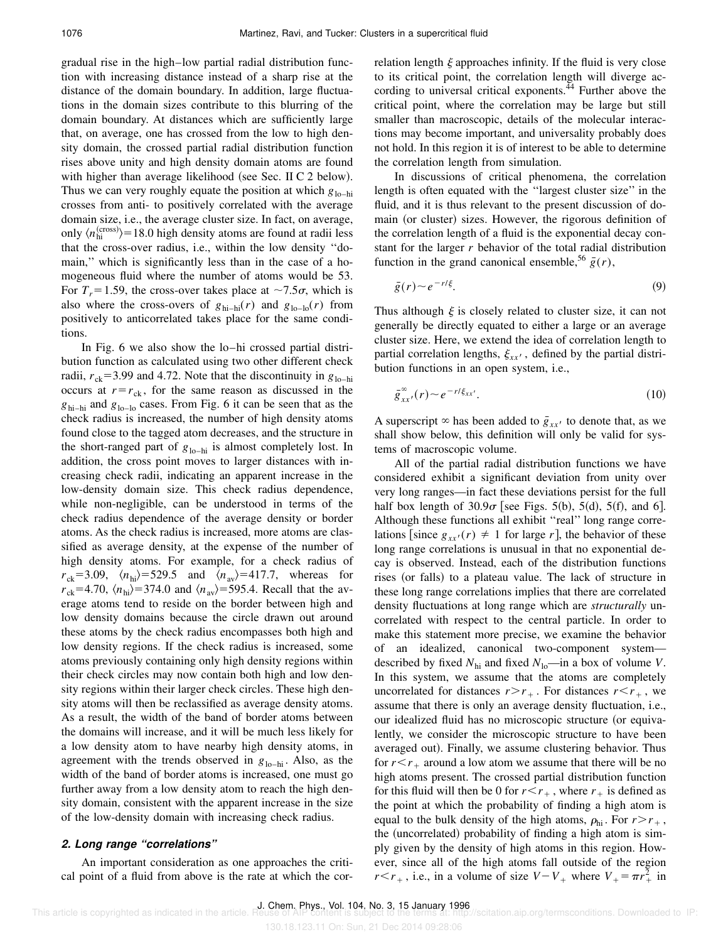gradual rise in the high–low partial radial distribution function with increasing distance instead of a sharp rise at the distance of the domain boundary. In addition, large fluctuations in the domain sizes contribute to this blurring of the domain boundary. At distances which are sufficiently large that, on average, one has crossed from the low to high density domain, the crossed partial radial distribution function rises above unity and high density domain atoms are found with higher than average likelihood (see Sec. II C 2 below). Thus we can very roughly equate the position at which  $g_{\text{lo-hi}}$ crosses from anti- to positively correlated with the average domain size, i.e., the average cluster size. In fact, on average, only  $\langle n_{\text{hi}}^{(\text{cross})} \rangle = 18.0$  high density atoms are found at radii less that the cross-over radius, i.e., within the low density ''domain," which is significantly less than in the case of a homogeneous fluid where the number of atoms would be 53. For  $T_r = 1.59$ , the cross-over takes place at  $\sim 7.5\sigma$ , which is also where the cross-overs of  $g_{hi-hi}(r)$  and  $g_{lo-lo}(r)$  from positively to anticorrelated takes place for the same conditions.

In Fig. 6 we also show the lo–hi crossed partial distribution function as calculated using two other different check radii,  $r_{ck}$ =3.99 and 4.72. Note that the discontinuity in  $g_{\text{lo-hi}}$ occurs at  $r=r_{ck}$ , for the same reason as discussed in the  $g_{\text{hi-hi}}$  and  $g_{\text{lo-lo}}$  cases. From Fig. 6 it can be seen that as the check radius is increased, the number of high density atoms found close to the tagged atom decreases, and the structure in the short-ranged part of  $g_{\text{lo-hi}}$  is almost completely lost. In addition, the cross point moves to larger distances with increasing check radii, indicating an apparent increase in the low-density domain size. This check radius dependence, while non-negligible, can be understood in terms of the check radius dependence of the average density or border atoms. As the check radius is increased, more atoms are classified as average density, at the expense of the number of high density atoms. For example, for a check radius of  $r_{ck}$ =3.09,  $\langle n_{hi} \rangle$ =529.5 and  $\langle n_{av} \rangle$ =417.7, whereas for  $r_{ck}$ =4.70,  $\langle n_{hi} \rangle$ =374.0 and  $\langle n_{av} \rangle$ =595.4. Recall that the average atoms tend to reside on the border between high and low density domains because the circle drawn out around these atoms by the check radius encompasses both high and low density regions. If the check radius is increased, some atoms previously containing only high density regions within their check circles may now contain both high and low density regions within their larger check circles. These high density atoms will then be reclassified as average density atoms. As a result, the width of the band of border atoms between the domains will increase, and it will be much less likely for a low density atom to have nearby high density atoms, in agreement with the trends observed in  $g_{\text{lo-hi}}$ . Also, as the width of the band of border atoms is increased, one must go further away from a low density atom to reach the high density domain, consistent with the apparent increase in the size of the low-density domain with increasing check radius.

#### **2. Long range ''correlations''**

An important consideration as one approaches the critical point of a fluid from above is the rate at which the cor-

In discussions of critical phenomena, the correlation length is often equated with the ''largest cluster size'' in the fluid, and it is thus relevant to the present discussion of domain (or cluster) sizes. However, the rigorous definition of the correlation length of a fluid is the exponential decay constant for the larger *r* behavior of the total radial distribution function in the grand canonical ensemble,<sup>56</sup>  $\bar{g}(r)$ ,

$$
\bar{g}(r) \sim e^{-r/\xi}.\tag{9}
$$

Thus although  $\xi$  is closely related to cluster size, it can not generally be directly equated to either a large or an average cluster size. Here, we extend the idea of correlation length to partial correlation lengths,  $\xi_{xx}$ , defined by the partial distribution functions in an open system, i.e.,

$$
\bar{g}_{xx'}^{\infty}(r) \sim e^{-r/\xi_{xx'}}.
$$
\n(10)

A superscript  $\infty$  has been added to  $\bar{g}_{xx}$  to denote that, as we shall show below, this definition will only be valid for systems of macroscopic volume.

All of the partial radial distribution functions we have considered exhibit a significant deviation from unity over very long ranges—in fact these deviations persist for the full half box length of  $30.9\sigma$  [see Figs. 5(b), 5(d), 5(f), and 6]. Although these functions all exhibit ''real'' long range correlations [since  $g_{xx}(r) \neq 1$  for large *r*], the behavior of these long range correlations is unusual in that no exponential decay is observed. Instead, each of the distribution functions rises (or falls) to a plateau value. The lack of structure in these long range correlations implies that there are correlated density fluctuations at long range which are *structurally* uncorrelated with respect to the central particle. In order to make this statement more precise, we examine the behavior of an idealized, canonical two-component system described by fixed  $N_{hi}$  and fixed  $N_{lo}$ —in a box of volume *V*. In this system, we assume that the atoms are completely uncorrelated for distances  $r > r_+$ . For distances  $r < r_+$ , we assume that there is only an average density fluctuation, i.e., our idealized fluid has no microscopic structure (or equivalently, we consider the microscopic structure to have been averaged out). Finally, we assume clustering behavior. Thus for  $r < r_+$  around a low atom we assume that there will be no high atoms present. The crossed partial distribution function for this fluid will then be 0 for  $r < r_+$ , where  $r_+$  is defined as the point at which the probability of finding a high atom is equal to the bulk density of the high atoms,  $\rho_{hi}$ . For  $r > r_+$ , the (uncorrelated) probability of finding a high atom is simply given by the density of high atoms in this region. However, since all of the high atoms fall outside of the region  $r < r_+$ , i.e., in a volume of size  $V - V_+$  where  $V_+ = \pi r_+^2$  in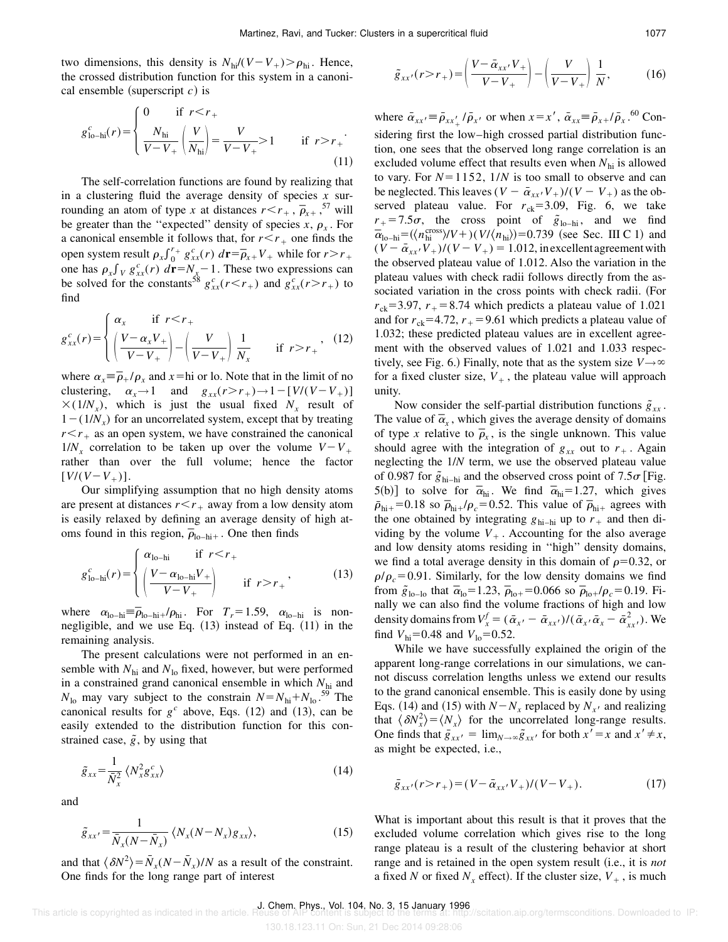two dimensions, this density is  $N_{\text{hi}}/(V-V_+) > \rho_{\text{hi}}$ . Hence, the crossed distribution function for this system in a canonical ensemble (superscript  $c$ ) is

$$
g_{\text{lo-hi}}^{c}(r) = \begin{cases} 0 & \text{if } r < r_{+} \\ \frac{N_{\text{hi}}}{V - V_{+}} \left( \frac{V}{N_{\text{hi}}} \right) = \frac{V}{V - V_{+}} > 1 & \text{if } r > r_{+} \end{cases}
$$
(11)

The self-correlation functions are found by realizing that in a clustering fluid the average density of species *x* surrounding an atom of type *x* at distances  $r < r_+$ ,  $\overline{\rho}_{x+}$ ,  $\overline{57}$  will be greater than the "expected" density of species  $x, \rho_x$ . For a canonical ensemble it follows that, for  $r < r<sub>+</sub>$  one finds the open system result  $\rho_x \int_0^{r_+} g_{xx}^r(r) dr = \overline{\rho}_{x+} V_+$  while for  $r > r_+$ one has  $\rho_x f_y g_{xx}^c(r) d\mathbf{r} = N_x - 1$ . These two expressions can be solved for the constants<sup>58</sup>  $g_{xx}^c(r \le r_+)$  and  $g_{xx}^c(r \ge r_+)$  to find

$$
g_{xx}^c(r) = \begin{cases} \alpha_x & \text{if } r < r_+ \\ \left(\frac{V - \alpha_x V_+}{V - V_+}\right) - \left(\frac{V_-}{V - V_+}\right) \frac{1}{N_x} & \text{if } r > r_+ \end{cases}
$$
 (12)

where  $\alpha_x = \overline{\rho}_+/\rho_x$  and  $x =$ hi or lo. Note that in the limit of no clustering,  $\alpha_x \rightarrow 1$  and  $g_{xx}(r > r_+) \rightarrow 1-[V/(V-V_+)]$  $\times$ (1/*N<sub>x</sub>*), which is just the usual fixed *N<sub>x</sub>* result of  $1-(1/N_x)$  for an uncorrelated system, except that by treating  $r < r_{+}$  as an open system, we have constrained the canonical  $1/N_x$  correlation to be taken up over the volume  $V - V_+$ rather than over the full volume; hence the factor  $[V/(V-V_+)]$ .

Our simplifying assumption that no high density atoms are present at distances  $r < r_+$  away from a low density atom is easily relaxed by defining an average density of high atoms found in this region,  $\rho_{\text{lo-hi+}}$ . One then finds

$$
g_{\text{lo-hi}}^{c}(r) = \begin{cases} \alpha_{\text{lo-hi}} & \text{if } r < r_+ \\ \left(\frac{V - \alpha_{\text{lo-hi}} V_+}{V - V_+}\right) & \text{if } r > r_+ \end{cases} \tag{13}
$$

where  $\alpha_{\text{lo-hi}} \equiv \overline{\rho}_{\text{lo-hi}} / \rho_{\text{hi}}$ . For  $T_r = 1.59$ ,  $\alpha_{\text{lo-hi}}$  is nonnegligible, and we use Eq.  $(13)$  instead of Eq.  $(11)$  in the remaining analysis.

The present calculations were not performed in an ensemble with  $N_{\text{hi}}$  and  $N_{\text{lo}}$  fixed, however, but were performed in a constrained grand canonical ensemble in which  $N_{\text{hi}}$  and  $N_{\text{lo}}$  may vary subject to the constrain  $N = N_{\text{hi}} + N_{\text{lo}}$ .<sup>59</sup> The canonical results for  $g^c$  above, Eqs. (12) and (13), can be easily extended to the distribution function for this constrained case,  $\tilde{g}$ , by using that

$$
\tilde{g}_{xx} = \frac{1}{\bar{N}_x^2} \langle N_x^2 g_{xx}^c \rangle \tag{14}
$$

and

$$
\tilde{g}_{xx'} = \frac{1}{\bar{N}_x(N - \bar{N}_x)} \langle N_x(N - N_x)g_{xx} \rangle, \tag{15}
$$

and that  $\langle \delta N^2 \rangle = \bar{N}_x (N - \bar{N}_x) / N$  as a result of the constraint. One finds for the long range part of interest

$$
\tilde{g}_{xx'}(r>r_+) = \left(\frac{V - \bar{\alpha}_{xx'}V_+}{V - V_+}\right) - \left(\frac{V}{V - V_+}\right)\frac{1}{N},\tag{16}
$$

where  $\bar{\alpha}_{xx} = \bar{\rho}_{xx'_x}/\bar{\rho}_{x'}$  or when  $x = x'$ ,  $\bar{\alpha}_{xx} = \bar{\rho}_{x+}/\bar{\rho}_{x}$ .<sup>60</sup> Considering first the low–high crossed partial distribution function, one sees that the observed long range correlation is an excluded volume effect that results even when  $N<sub>hi</sub>$  is allowed to vary. For  $N=1152$ ,  $1/N$  is too small to observe and can be neglected. This leaves  $(V - \overline{\alpha}_{xx}V_+)/(V - V_+)$  as the observed plateau value. For  $r_{ck} = 3.09$ , Fig. 6, we take  $r_{+} = 7.5\sigma$ , the cross point of  $\tilde{g}_{\text{lo-hi}}$ , and we find  $\overline{\alpha}_{\text{lo-hi}} = ((n_{\text{hi}}^{\text{cross}}) / V + ((V / (n_{\text{hi}})) = 0.739 \text{ (see Sec. III C 1) and}$  $(V - \bar{\alpha}_{xx}V_+)/(V - V_+) = 1.012$ , inexcellent agreement with the observed plateau value of 1.012. Also the variation in the plateau values with check radii follows directly from the associated variation in the cross points with check radii. (For  $r_{ck}$ =3.97,  $r_{+}$ =8.74 which predicts a plateau value of 1.021 and for  $r_{ck}$ =4.72,  $r_{+}$ =9.61 which predicts a plateau value of 1.032; these predicted plateau values are in excellent agreement with the observed values of 1.021 and 1.033 respectively, see Fig. 6.) Finally, note that as the system size  $V \rightarrow \infty$ for a fixed cluster size,  $V_+$ , the plateau value will approach unity.

Now consider the self-partial distribution functions  $\tilde{g}_{xx}$ . The value of  $\overline{\alpha}_x$ , which gives the average density of domains of type *x* relative to  $\overline{\rho}_x$ , is the single unknown. This value should agree with the integration of  $g_{xx}$  out to  $r_{+}$ . Again neglecting the 1/*N* term, we use the observed plateau value of 0.987 for  $\tilde{g}_{hi-hi}$  and the observed cross point of 7.5 $\sigma$  [Fig. 5(b)] to solve for  $\overline{\alpha}_{hi}$ . We find  $\overline{\alpha}_{hi} = 1.27$ , which gives  $\bar{\rho}_{\text{hi}+}$ =0.18 so  $\bar{\rho}_{\text{hi}+}/\rho_c$ =0.52. This value of  $\bar{\rho}_{\text{hi}+}$  agrees with the one obtained by integrating  $g_{hi-hi}$  up to  $r_+$  and then dividing by the volume  $V_+$ . Accounting for the also average and low density atoms residing in ''high'' density domains, we find a total average density in this domain of  $\rho=0.32$ , or  $\rho/\rho_c$ =0.91. Similarly, for the low density domains we find from  $\tilde{g}_{10-l0}$  that  $\overline{\alpha}_{10} = 1.23$ ,  $\overline{\rho}_{10+} = 0.066$  so  $\overline{\rho}_{10+}/\rho_c = 0.19$ . Finally we can also find the volume fractions of high and low density domains from  $V_x^f = (\bar{\alpha}_{x'} - \bar{\alpha}_{xx'})/(\bar{\alpha}_{x'} \bar{\alpha}_x - \bar{\alpha}_{xx'}^2)$ . We find  $V_{\text{hi}}=0.48$  and  $V_{\text{lo}}=0.52$ .

While we have successfully explained the origin of the apparent long-range correlations in our simulations, we cannot discuss correlation lengths unless we extend our results to the grand canonical ensemble. This is easily done by using Eqs. (14) and (15) with  $N - N_x$  replaced by  $N_x$  and realizing that  $\langle \delta N_x^2 \rangle = \langle N_x \rangle$  for the uncorrelated long-range results. One finds that  $g_{xx}^{y} = \lim_{N \to \infty} g_{xx}$  for both  $x' = x$  and  $x' \neq x$ , as might be expected, i.e.,

$$
\bar{g}_{xx'}(r > r_{+}) = (V - \bar{\alpha}_{xx'}V_{+})/(V - V_{+}).\tag{17}
$$

What is important about this result is that it proves that the excluded volume correlation which gives rise to the long range plateau is a result of the clustering behavior at short range and is retained in the open system result (i.e., it is *not* a fixed *N* or fixed  $N_x$  effect). If the cluster size,  $V_+$ , is much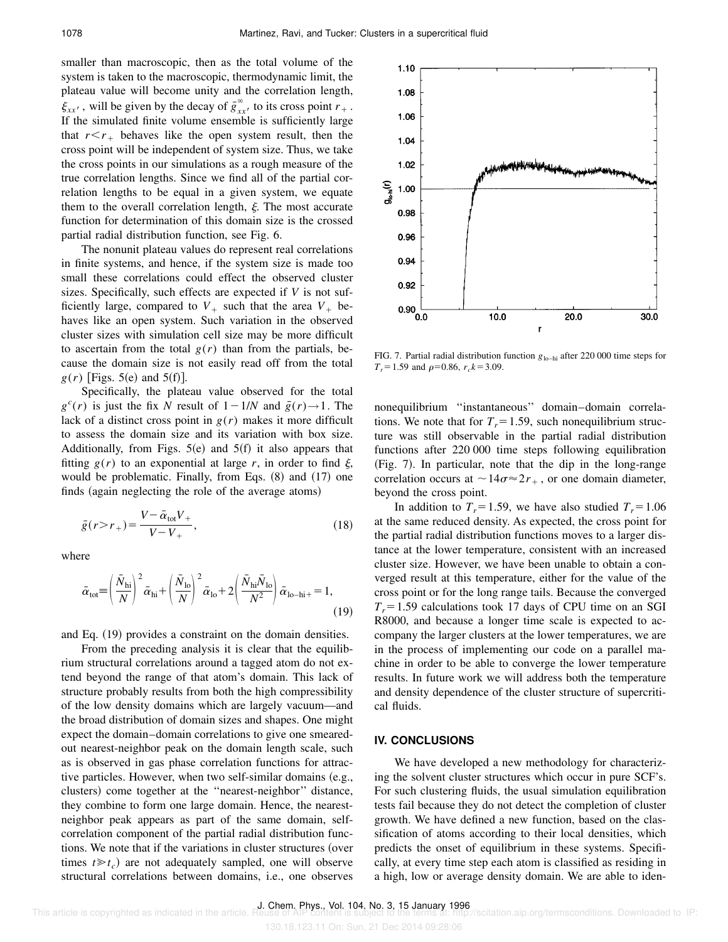smaller than macroscopic, then as the total volume of the system is taken to the macroscopic, thermodynamic limit, the plateau value will become unity and the correlation length,  $\xi_{xx}$ , will be given by the decay of  $\overline{g}_{xx}^{\infty}$ , to its cross point  $r_+$ . If the simulated finite volume ensemble is sufficiently large that  $r < r_{+}$  behaves like the open system result, then the cross point will be independent of system size. Thus, we take the cross points in our simulations as a rough measure of the true correlation lengths. Since we find all of the partial correlation lengths to be equal in a given system, we equate them to the overall correlation length,  $\xi$ . The most accurate function for determination of this domain size is the crossed partial radial distribution function, see Fig. 6.

The nonunit plateau values do represent real correlations in finite systems, and hence, if the system size is made too small these correlations could effect the observed cluster sizes. Specifically, such effects are expected if *V* is not sufficiently large, compared to  $V_+$  such that the area  $V_+$  behaves like an open system. Such variation in the observed cluster sizes with simulation cell size may be more difficult to ascertain from the total  $g(r)$  than from the partials, because the domain size is not easily read off from the total  $g(r)$  [Figs. 5(e) and 5(f)].

Specifically, the plateau value observed for the total  $g^{c}(r)$  is just the fix *N* result of  $1-1/N$  and  $\bar{g}(r) \rightarrow 1$ . The lack of a distinct cross point in  $g(r)$  makes it more difficult to assess the domain size and its variation with box size. Additionally, from Figs.  $5(e)$  and  $5(f)$  it also appears that fitting  $g(r)$  to an exponential at large *r*, in order to find  $\xi$ , would be problematic. Finally, from Eqs.  $(8)$  and  $(17)$  one finds (again neglecting the role of the average atoms)

$$
\bar{g}(r \ge r_{+}) = \frac{V - \bar{\alpha}_{\text{tot}} V_{+}}{V - V_{+}},\tag{18}
$$

where

$$
\bar{\alpha}_{\text{tot}} \equiv \left(\frac{\bar{N}_{\text{hi}}}{N}\right)^2 \bar{\alpha}_{\text{hi}} + \left(\frac{\bar{N}_{\text{lo}}}{N}\right)^2 \bar{\alpha}_{\text{lo}} + 2\left(\frac{\bar{N}_{\text{hi}} \bar{N}_{\text{lo}}}{N^2}\right) \bar{\alpha}_{\text{lo-hi+}} = 1,
$$
\n(19)

and Eq.  $(19)$  provides a constraint on the domain densities.

From the preceding analysis it is clear that the equilibrium structural correlations around a tagged atom do not extend beyond the range of that atom's domain. This lack of structure probably results from both the high compressibility of the low density domains which are largely vacuum—and the broad distribution of domain sizes and shapes. One might expect the domain–domain correlations to give one smearedout nearest-neighbor peak on the domain length scale, such as is observed in gas phase correlation functions for attractive particles. However, when two self-similar domains  $(e.g.,)$ clusters) come together at the "nearest-neighbor" distance, they combine to form one large domain. Hence, the nearestneighbor peak appears as part of the same domain, selfcorrelation component of the partial radial distribution functions. We note that if the variations in cluster structures (over times  $t \geq t_c$ ) are not adequately sampled, one will observe structural correlations between domains, i.e., one observes



FIG. 7. Partial radial distribution function  $g_{\text{lo-hi}}$  after 220 000 time steps for  $T_r = 1.59$  and  $\rho = 0.86$ ,  $r_c k = 3.09$ .

nonequilibrium ''instantaneous'' domain–domain correlations. We note that for  $T<sub>r</sub> = 1.59$ , such nonequilibrium structure was still observable in the partial radial distribution functions after 220 000 time steps following equilibration (Fig. 7). In particular, note that the dip in the long-range correlation occurs at  $\sim$  14 $\sigma \approx 2r_+$ , or one domain diameter, beyond the cross point.

In addition to  $T_r = 1.59$ , we have also studied  $T_r = 1.06$ at the same reduced density. As expected, the cross point for the partial radial distribution functions moves to a larger distance at the lower temperature, consistent with an increased cluster size. However, we have been unable to obtain a converged result at this temperature, either for the value of the cross point or for the long range tails. Because the converged  $T_r$ = 1.59 calculations took 17 days of CPU time on an SGI R8000, and because a longer time scale is expected to accompany the larger clusters at the lower temperatures, we are in the process of implementing our code on a parallel machine in order to be able to converge the lower temperature results. In future work we will address both the temperature and density dependence of the cluster structure of supercritical fluids.

#### **IV. CONCLUSIONS**

We have developed a new methodology for characterizing the solvent cluster structures which occur in pure SCF's. For such clustering fluids, the usual simulation equilibration tests fail because they do not detect the completion of cluster growth. We have defined a new function, based on the classification of atoms according to their local densities, which predicts the onset of equilibrium in these systems. Specifically, at every time step each atom is classified as residing in a high, low or average density domain. We are able to iden-

J. Chem. Phys., Vol. 104, No. 3, 15 January 1996<br>This article is copyrighted as indicated in the article. Reuse of AIP content is subject to the terms at: http://scitation.aip.org/termsconditions. Downloaded to IP: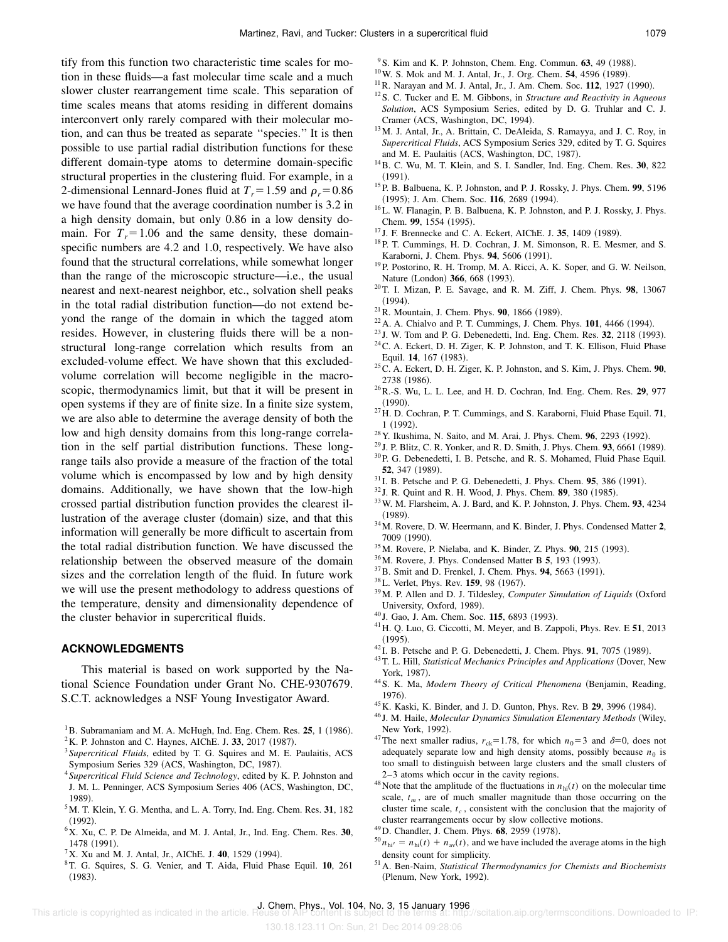tify from this function two characteristic time scales for motion in these fluids—a fast molecular time scale and a much slower cluster rearrangement time scale. This separation of time scales means that atoms residing in different domains interconvert only rarely compared with their molecular motion, and can thus be treated as separate ''species.'' It is then possible to use partial radial distribution functions for these different domain-type atoms to determine domain-specific structural properties in the clustering fluid. For example, in a 2-dimensional Lennard-Jones fluid at  $T_r = 1.59$  and  $\rho_r = 0.86$ we have found that the average coordination number is 3.2 in a high density domain, but only 0.86 in a low density domain. For  $T<sub>r</sub>=1.06$  and the same density, these domainspecific numbers are 4.2 and 1.0, respectively. We have also found that the structural correlations, while somewhat longer than the range of the microscopic structure—i.e., the usual nearest and next-nearest neighbor, etc., solvation shell peaks in the total radial distribution function—do not extend beyond the range of the domain in which the tagged atom resides. However, in clustering fluids there will be a nonstructural long-range correlation which results from an excluded-volume effect. We have shown that this excludedvolume correlation will become negligible in the macroscopic, thermodynamics limit, but that it will be present in open systems if they are of finite size. In a finite size system, we are also able to determine the average density of both the low and high density domains from this long-range correlation in the self partial distribution functions. These longrange tails also provide a measure of the fraction of the total volume which is encompassed by low and by high density domains. Additionally, we have shown that the low-high crossed partial distribution function provides the clearest illustration of the average cluster (domain) size, and that this information will generally be more difficult to ascertain from the total radial distribution function. We have discussed the relationship between the observed measure of the domain sizes and the correlation length of the fluid. In future work we will use the present methodology to address questions of the temperature, density and dimensionality dependence of the cluster behavior in supercritical fluids.

#### **ACKNOWLEDGMENTS**

This material is based on work supported by the National Science Foundation under Grant No. CHE-9307679. S.C.T. acknowledges a NSF Young Investigator Award.

- <sup>1</sup>B. Subramaniam and M. A. McHugh, Ind. Eng. Chem. Res. **25**, 1 (1986).  $2$ K. P. Johnston and C. Haynes, AIChE. J. 33, 2017 (1987).
- 3 *Supercritical Fluids*, edited by T. G. Squires and M. E. Paulaitis, ACS Symposium Series 329 (ACS, Washington, DC, 1987).
- 4 *Supercritical Fluid Science and Technology*, edited by K. P. Johnston and J. M. L. Penninger, ACS Symposium Series 406 (ACS, Washington, DC, 1989).
- <sup>5</sup>M. T. Klein, Y. G. Mentha, and L. A. Torry, Ind. Eng. Chem. Res. **31**, 182  $(1992).$
- <sup>6</sup>X. Xu, C. P. De Almeida, and M. J. Antal, Jr., Ind. Eng. Chem. Res. **30**, 1478 (1991).
- <sup>7</sup> X. Xu and M. J. Antal, Jr., AIChE. J. **40**, 1529 (1994).
- <sup>8</sup>T. G. Squires, S. G. Venier, and T. Aida, Fluid Phase Equil. **10**, 261  $(1983).$
- $9^9$ S. Kim and K. P. Johnston, Chem. Eng. Commun.  $63$ ,  $49$  (1988).
- <sup>10</sup>W. S. Mok and M. J. Antal, Jr., J. Org. Chem. **54**, 4596 (1989).
- <sup>11</sup> R. Narayan and M. J. Antal, Jr., J. Am. Chem. Soc. **112**, 1927 (1990).
- <sup>12</sup>S. C. Tucker and E. M. Gibbons, in *Structure and Reactivity in Aqueous Solution*, ACS Symposium Series, edited by D. G. Truhlar and C. J. Cramer (ACS, Washington, DC, 1994).
- <sup>13</sup>M. J. Antal, Jr., A. Brittain, C. DeAleida, S. Ramayya, and J. C. Roy, in *Supercritical Fluids*, ACS Symposium Series 329, edited by T. G. Squires and M. E. Paulaitis (ACS, Washington, DC, 1987).
- <sup>14</sup>B. C. Wu, M. T. Klein, and S. I. Sandler, Ind. Eng. Chem. Res. **30**, 822  $(1991).$
- <sup>15</sup>P. B. Balbuena, K. P. Johnston, and P. J. Rossky, J. Phys. Chem. **99**, 5196 (1995); J. Am. Chem. Soc. 116, 2689 (1994).
- <sup>16</sup>L. W. Flanagin, P. B. Balbuena, K. P. Johnston, and P. J. Rossky, J. Phys. Chem. 99, 1554 (1995).
- <sup>17</sup> J. F. Brennecke and C. A. Eckert, AIChE. J. **35**, 1409 (1989).
- <sup>18</sup>P. T. Cummings, H. D. Cochran, J. M. Simonson, R. E. Mesmer, and S. Karaborni, J. Chem. Phys. 94, 5606 (1991).
- <sup>19</sup>P. Postorino, R. H. Tromp, M. A. Ricci, A. K. Soper, and G. W. Neilson, Nature (London) 366, 668 (1993).
- <sup>20</sup>T. I. Mizan, P. E. Savage, and R. M. Ziff, J. Chem. Phys. **98**, 13067  $(1994).$
- <sup>21</sup> R. Mountain, J. Chem. Phys. **90**, 1866 (1989).
- $22$  A. A. Chialvo and P. T. Cummings, J. Chem. Phys.  $101$ , 4466 (1994).
- <sup>23</sup> J. W. Tom and P. G. Debenedetti, Ind. Eng. Chem. Res. **32**, 2118 (1993).
- <sup>24</sup>C. A. Eckert, D. H. Ziger, K. P. Johnston, and T. K. Ellison, Fluid Phase Equil. **14**, 167 (1983).
- <sup>25</sup>C. A. Eckert, D. H. Ziger, K. P. Johnston, and S. Kim, J. Phys. Chem. **90**, 2738 (1986).
- <sup>26</sup>R.-S. Wu, L. L. Lee, and H. D. Cochran, Ind. Eng. Chem. Res. **29**, 977  $(1990)$ .
- <sup>27</sup>H. D. Cochran, P. T. Cummings, and S. Karaborni, Fluid Phase Equil. **71**,  $1 (1992).$
- <sup>28</sup> Y. Ikushima, N. Saito, and M. Arai, J. Phys. Chem. **96**, 2293 (1992).
- $29$  J. P. Blitz, C. R. Yonker, and R. D. Smith, J. Phys. Chem. **93**, 6661 (1989). <sup>30</sup>P. G. Debenedetti, I. B. Petsche, and R. S. Mohamed, Fluid Phase Equil.
- **52**, 347 (1989).
- $31$  I. B. Petsche and P. G. Debenedetti, J. Phys. Chem. **95**, 386  $(1991)$ .
- <sup>32</sup> J. R. Quint and R. H. Wood, J. Phys. Chem. **89**, 380 (1985).
- <sup>33</sup>W. M. Flarsheim, A. J. Bard, and K. P. Johnston, J. Phys. Chem. **93**, 4234  $(1989).$
- <sup>34</sup>M. Rovere, D. W. Heermann, and K. Binder, J. Phys. Condensed Matter **2**, 7009 (1990).
- <sup>35</sup> M. Rovere, P. Nielaba, and K. Binder, Z. Phys. **90**, 215 (1993).
- <sup>36</sup> M. Rovere, J. Phys. Condensed Matter B 5, 193 (1993).
- <sup>37</sup> B. Smit and D. Frenkel, J. Chem. Phys. **94**, 5663 (1991).
- <sup>38</sup>L. Verlet, Phys. Rev. **159**, 98 (1967).
- <sup>39</sup> M. P. Allen and D. J. Tildesley, *Computer Simulation of Liquids* (Oxford University, Oxford, 1989).
- <sup>40</sup> J. Gao, J. Am. Chem. Soc. **115**, 6893 (1993).
- <sup>41</sup>H. Q. Luo, G. Ciccotti, M. Meyer, and B. Zappoli, Phys. Rev. E **51**, 2013  $(1995).$
- $42$  I. B. Petsche and P. G. Debenedetti, J. Chem. Phys. **91**, 7075 (1989).
- <sup>43</sup> T. L. Hill, *Statistical Mechanics Principles and Applications* (Dover, New York, 1987).
- <sup>44</sup> S. K. Ma, *Modern Theory of Critical Phenomena* (Benjamin, Reading, 1976).
- <sup>45</sup> K. Kaski, K. Binder, and J. D. Gunton, Phys. Rev. B **29**, 3996 (1984).
- <sup>46</sup> J. M. Haile, *Molecular Dynamics Simulation Elementary Methods* (Wiley, New York, 1992).
- <sup>47</sup>The next smaller radius,  $r_{ck}$ =1.78, for which  $n_0$ =3 and  $\delta$ =0, does not adequately separate low and high density atoms, possibly because  $n_0$  is too small to distinguish between large clusters and the small clusters of 2–3 atoms which occur in the cavity regions.
- <sup>48</sup> Note that the amplitude of the fluctuations in  $n<sub>hi</sub>(t)$  on the molecular time scale,  $t_m$ , are of much smaller magnitude than those occurring on the cluster time scale,  $t_c$ , consistent with the conclusion that the majority of cluster rearrangements occur by slow collective motions.
- <sup>49</sup> D. Chandler, J. Chem. Phys. **68**, 2959 (1978).
- $50 n_{\text{hi}'} = n_{\text{hi}}(t) + n_{\text{av}}(t)$ , and we have included the average atoms in the high density count for simplicity.
- <sup>51</sup>A. Ben-Naim, *Statistical Thermodynamics for Chemists and Biochemists* (Plenum, New York, 1992).